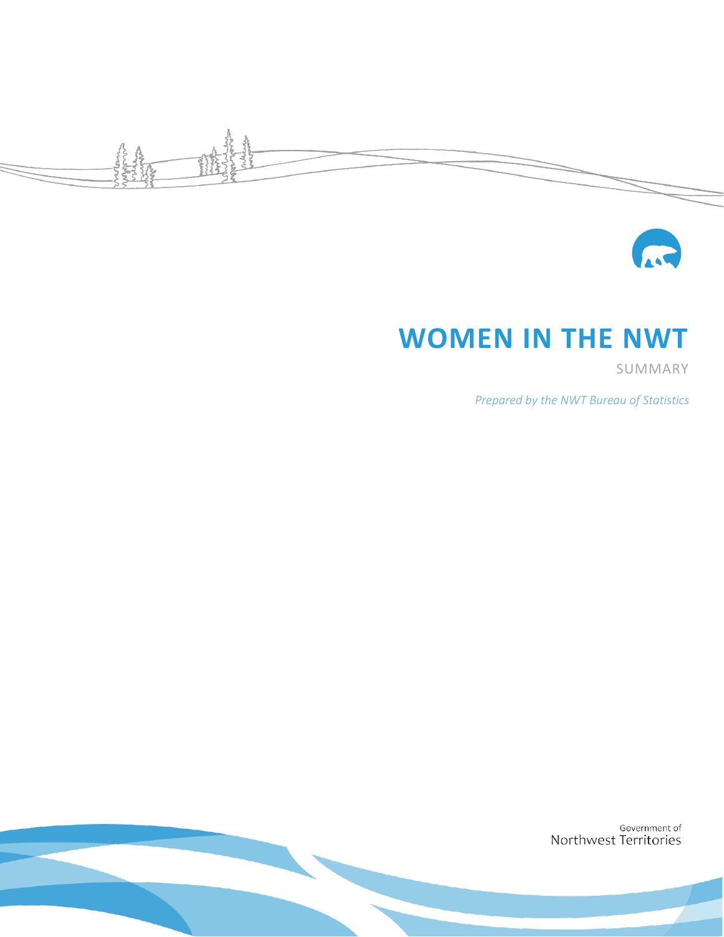



# **WOMEN IN THE NWT**

SUMMARY

*Prepared by the NWT Bureau of Statistics*

Government of Northwest Territories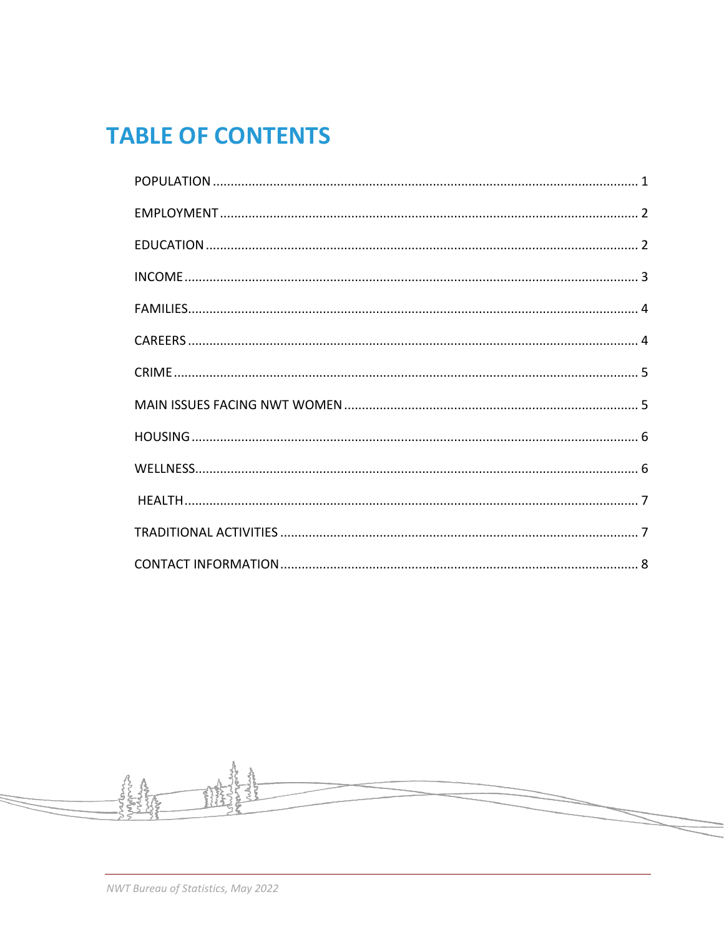# **TABLE OF CONTENTS**

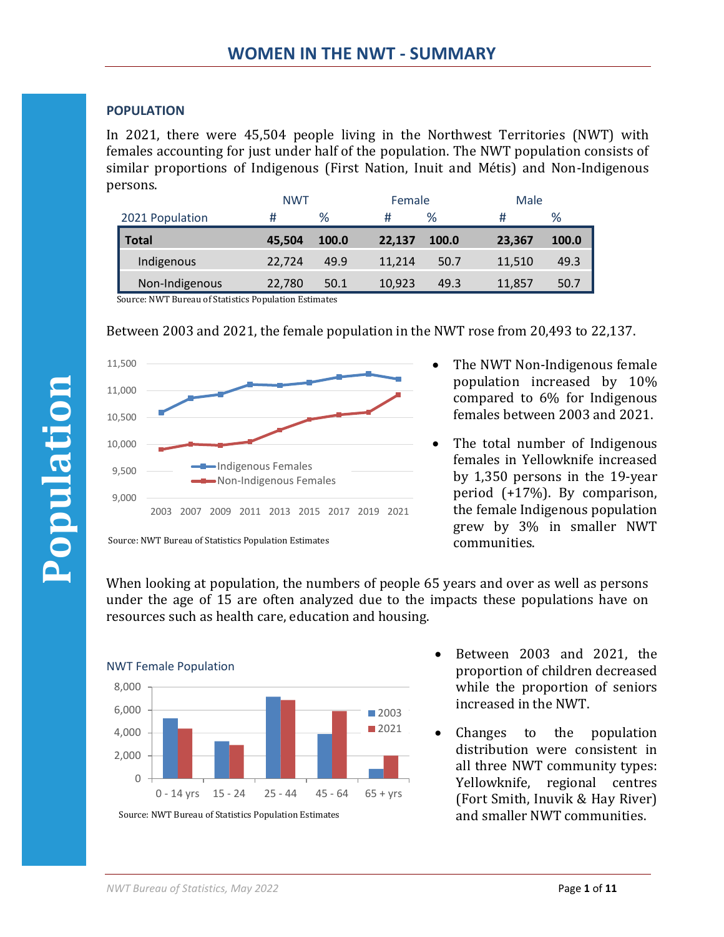## <span id="page-3-0"></span>**POPULATION**

In 2021, there were 45,504 people living in the Northwest Territories (NWT) with females accounting for just under half of the population. The NWT population consists of similar proportions of Indigenous (First Nation, Inuit and Métis) and Non-Indigenous persons.

|                 | <b>NWT</b> |       | Female |              | Male   |       |
|-----------------|------------|-------|--------|--------------|--------|-------|
| 2021 Population | #          | %     | #      | %            | #      | %     |
| <b>Total</b>    | 45,504     | 100.0 | 22,137 | <b>100.0</b> | 23,367 | 100.0 |
| Indigenous      | 22,724     | 49.9  | 11,214 | 50.7         | 11,510 | 49.3  |
| Non-Indigenous  | 22,780     | 50.1  | 10,923 | 49.3         | 11,857 | 50.7  |

Source: NWT Bureau of Statistics Population Estimates

Between 2003 and 2021, the female population in the NWT rose from 20,493 to 22,137.



- The NWT Non-Indigenous female population increased by 10% compared to 6% for Indigenous females between 2003 and 2021.
- The total number of Indigenous females in Yellowknife increased by 1,350 persons in the 19-year period (+17%). By comparison, the female Indigenous population grew by 3% in smaller NWT communities.

When looking at population, the numbers of people 65 years and over as well as persons under the age of 15 are often analyzed due to the impacts these populations have on resources such as health care, education and housing.



- Between 2003 and 2021, the proportion of children decreased while the proportion of seniors increased in the NWT.
- Changes to the population distribution were consistent in all three NWT community types: Yellowknife, regional centres (Fort Smith, Inuvik & Hay River)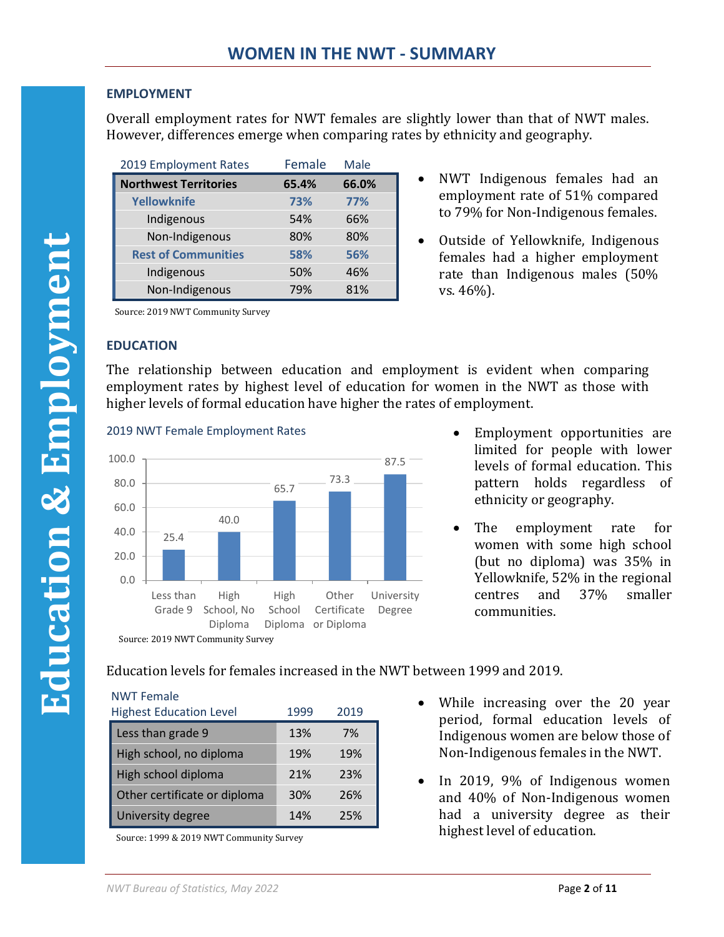# <span id="page-4-0"></span>**EMPLOYMENT**

Overall employment rates for NWT females are slightly lower than that of NWT males. However, differences emerge when comparing rates by ethnicity and geography.

| 2019 Employment Rates        | Female | Male  |
|------------------------------|--------|-------|
| <b>Northwest Territories</b> | 65.4%  | 66.0% |
| <b>Yellowknife</b>           | 73%    | 77%   |
| Indigenous                   | 54%    | 66%   |
| Non-Indigenous               | 80%    | 80%   |
| <b>Rest of Communities</b>   | 58%    | 56%   |
| Indigenous                   | 50%    | 46%   |
| Non-Indigenous               | 79%    | 81%   |

- NWT Indigenous females had an employment rate of 51% compared to 79% for Non-Indigenous females.
- Outside of Yellowknife, Indigenous females had a higher employment rate than Indigenous males (50% vs. 46%).

Source: 2019 NWT Community Survey

## <span id="page-4-1"></span>**EDUCATION**

The relationship between education and employment is evident when comparing employment rates by highest level of education for women in the NWT as those with higher levels of formal education have higher the rates of employment.





- Employment opportunities are limited for people with lower levels of formal education. This pattern holds regardless of ethnicity or geography.
- The employment rate for women with some high school (but no diploma) was 35% in Yellowknife, 52% in the regional centres and 37% smaller communities.

Education levels for females increased in the NWT between 1999 and 2019.

| <b>NWT Female</b><br><b>Highest Education Level</b> | 1999 | 2019 |
|-----------------------------------------------------|------|------|
| Less than grade 9                                   | 13%  | 7%   |
| High school, no diploma                             | 19%  | 19%  |
| High school diploma                                 | 21%  | 23%  |
| Other certificate or diploma                        | 30%  | 26%  |
| University degree                                   | 14%  | 25%  |

Source: 1999 & 2019 NWT Community Survey

- While increasing over the 20 year period, formal education levels of Indigenous women are below those of Non-Indigenous females in the NWT.
- In 2019, 9% of Indigenous women and 40% of Non-Indigenous women had a university degree as their highest level of education.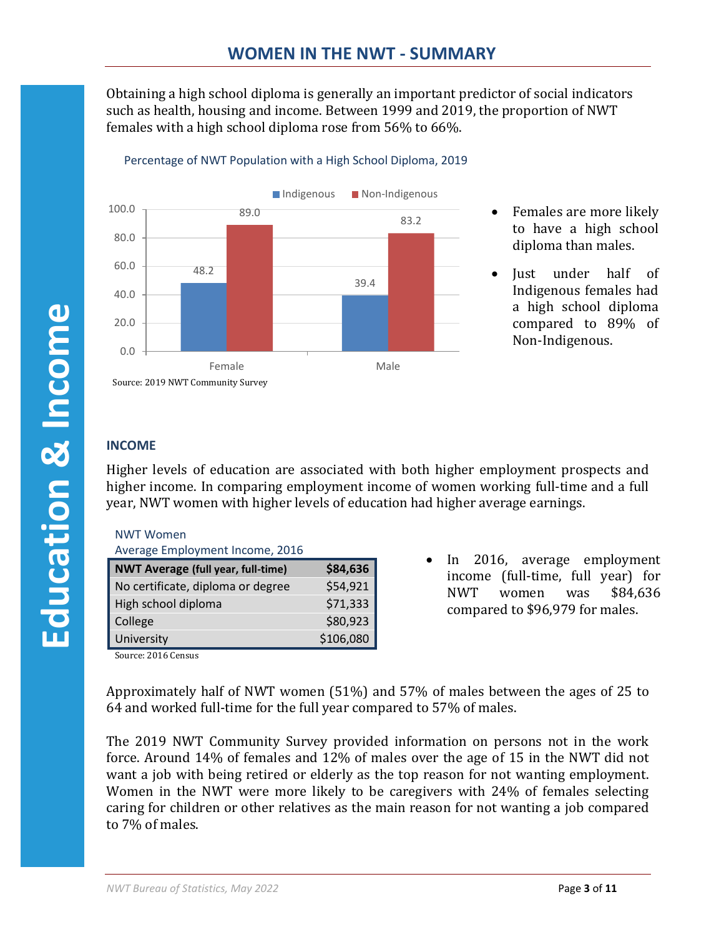Obtaining a high school diploma is generally an important predictor of social indicators such as health, housing and income. Between 1999 and 2019, the proportion of NWT females with a high school diploma rose from 56% to 66%.



## Percentage of NWT Population with a High School Diploma, 2019

- Females are more likely to have a high school diploma than males.
- Just under half of Indigenous females had a high school diploma compared to 89% of Non-Indigenous.

# <span id="page-5-0"></span>**INCOME**

Higher levels of education are associated with both higher employment prospects and higher income. In comparing employment income of women working full-time and a full year, NWT women with higher levels of education had higher average earnings.

| NWT Women |
|-----------|
|           |

| Average Employment Income, 2016 |  |
|---------------------------------|--|
|                                 |  |

| <b>NWT Average (full year, full-time)</b> | \$84,636  |
|-------------------------------------------|-----------|
| No certificate, diploma or degree         | \$54,921  |
| High school diploma                       | \$71,333  |
| College                                   | \$80,923  |
| University                                | \$106,080 |
| -----                                     |           |

• In 2016, average employment income (full-time, full year) for NWT women was \$84,636 compared to \$96,979 for males.

Source: 2016 Census

Approximately half of NWT women (51%) and 57% of males between the ages of 25 to 64 and worked full-time for the full year compared to 57% of males.

The 2019 NWT Community Survey provided information on persons not in the work force. Around 14% of females and 12% of males over the age of 15 in the NWT did not want a job with being retired or elderly as the top reason for not wanting employment. Women in the NWT were more likely to be caregivers with 24% of females selecting caring for children or other relatives as the main reason for not wanting a job compared to 7% of males.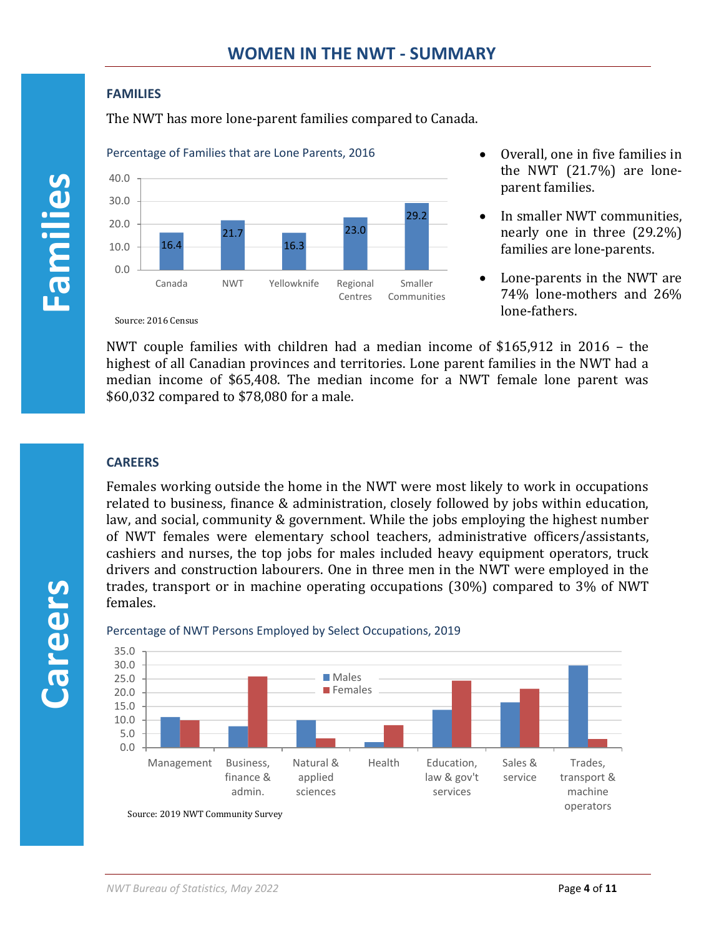### <span id="page-6-0"></span>**FAMILIES**

The NWT has more lone-parent families compared to Canada.





- Overall, one in five families in the NWT (21.7%) are loneparent families.
- In smaller NWT communities, nearly one in three (29.2%) families are lone-parents.
- Lone-parents in the NWT are 74% lone-mothers and 26% lone-fathers.

Source: 2016 Census

NWT couple families with children had a median income of \$165,912 in 2016 – the highest of all Canadian provinces and territories. Lone parent families in the NWT had a median income of \$65,408. The median income for a NWT female lone parent was \$60,032 compared to \$78,080 for a male.

# <span id="page-6-1"></span>**CAREERS**

Females working outside the home in the NWT were most likely to work in occupations related to business, finance & administration, closely followed by jobs within education, law, and social, community & government. While the jobs employing the highest number of NWT females were elementary school teachers, administrative officers/assistants, cashiers and nurses, the top jobs for males included heavy equipment operators, truck drivers and construction labourers. One in three men in the NWT were employed in the trades, transport or in machine operating occupations (30%) compared to 3% of NWT females.



#### Percentage of NWT Persons Employed by Select Occupations, 2019

**Careers**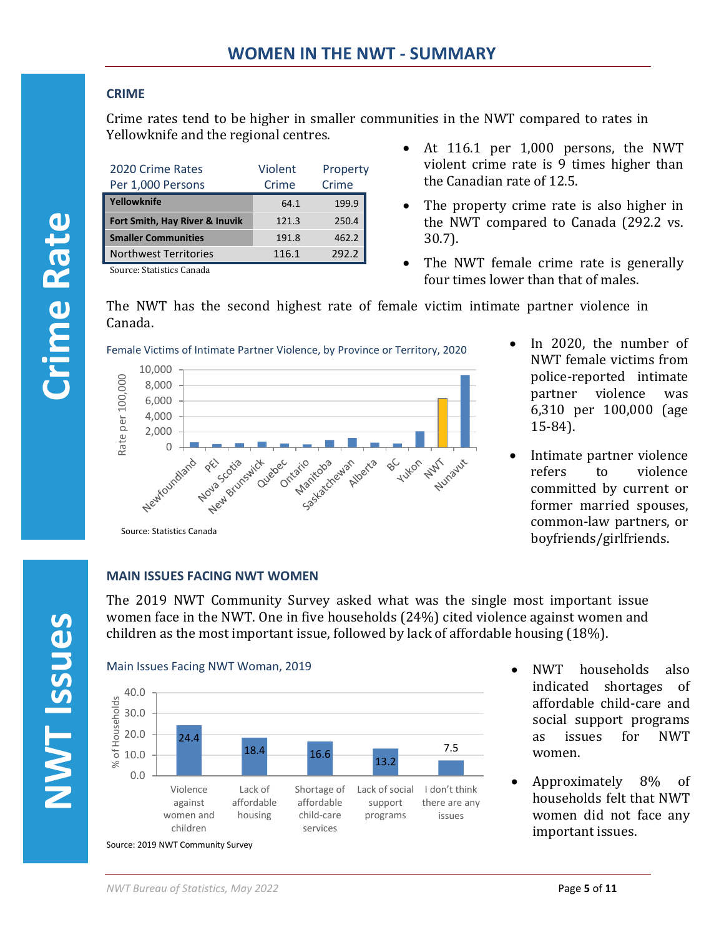# <span id="page-7-0"></span>**CRIME**

Crime rates tend to be higher in smaller communities in the NWT compared to rates in Yellowknife and the regional centres.

| 2020 Crime Rates<br>Per 1,000 Persons | Violent<br>Crime | Property<br>Crime |
|---------------------------------------|------------------|-------------------|
| Yellowknife                           | 64.1             | 199.9             |
| Fort Smith, Hay River & Inuvik        | 121.3            | 250.4             |
| <b>Smaller Communities</b>            | 191.8            | 462.2             |
| <b>Northwest Territories</b>          | 116.1            | 292.2             |

Source: Statistics Canada

- At 116.1 per 1,000 persons, the NWT violent crime rate is 9 times higher than the Canadian rate of 12.5.
- The property crime rate is also higher in the NWT compared to Canada (292.2 vs. 30.7).
- The NWT female crime rate is generally four times lower than that of males.

The NWT has the second highest rate of female victim intimate partner violence in Canada.



- In 2020, the number of NWT female victims from police-reported intimate partner violence was 6,310 per 100,000 (age 15-84).
- Intimate partner violence refers to violence committed by current or former married spouses, common-law partners, or boyfriends/girlfriends.

# <span id="page-7-1"></span>**MAIN ISSUES FACING NWT WOMEN**

Source: Statistics Canada

The 2019 NWT Community Survey asked what was the single most important issue women face in the NWT. One in five households (24%) cited violence against women and children as the most important issue, followed by lack of affordable housing (18%).



- NWT households also indicated shortages of affordable child-care and social support programs as issues for NWT women.
- Approximately 8% of households felt that NWT women did not face any important issues.

**Crime Rate**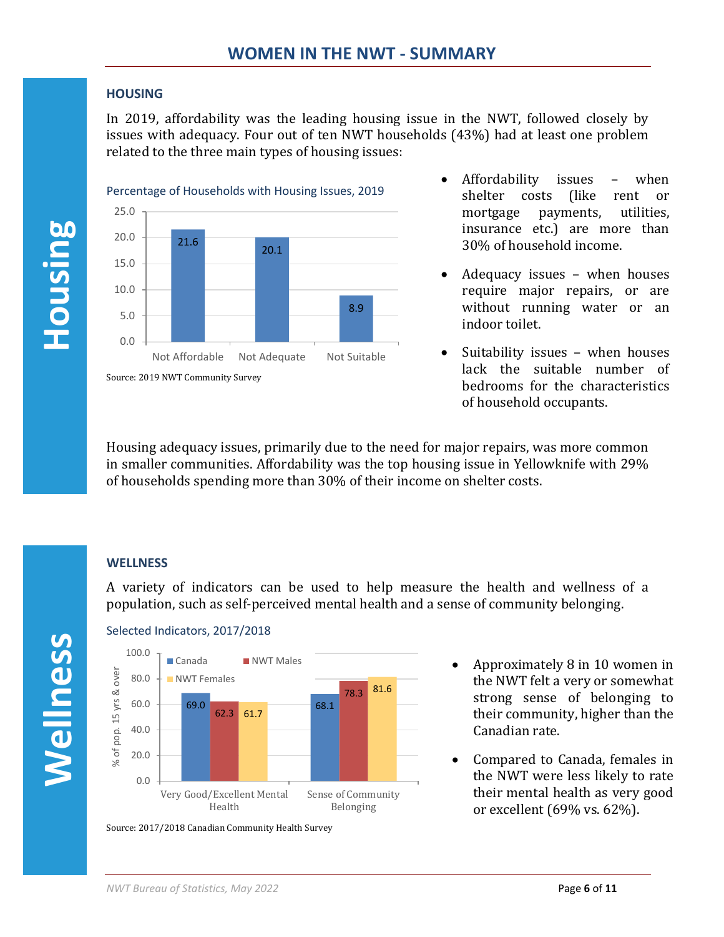## <span id="page-8-0"></span>**HOUSING**

In 2019, affordability was the leading housing issue in the NWT, followed closely by issues with adequacy. Four out of ten NWT households (43%) had at least one problem related to the three main types of housing issues:



- Affordability issues when shelter costs (like rent or mortgage payments, utilities, insurance etc.) are more than 30% of household income.
- Adequacy issues when houses require major repairs, or are without running water or an indoor toilet.
- Suitability issues when houses lack the suitable number of bedrooms for the characteristics of household occupants.

Housing adequacy issues, primarily due to the need for major repairs, was more common in smaller communities. Affordability was the top housing issue in Yellowknife with 29% of households spending more than 30% of their income on shelter costs.

# <span id="page-8-1"></span>**WELLNESS**

A variety of indicators can be used to help measure the health and wellness of a population, such as self-perceived mental health and a sense of community belonging.

**Housing** 





Source: 2017/2018 Canadian Community Health Survey

- Approximately 8 in 10 women in the NWT felt a very or somewhat strong sense of belonging to their community, higher than the Canadian rate.
- Compared to Canada, females in the NWT were less likely to rate their mental health as very good or excellent (69% vs. 62%).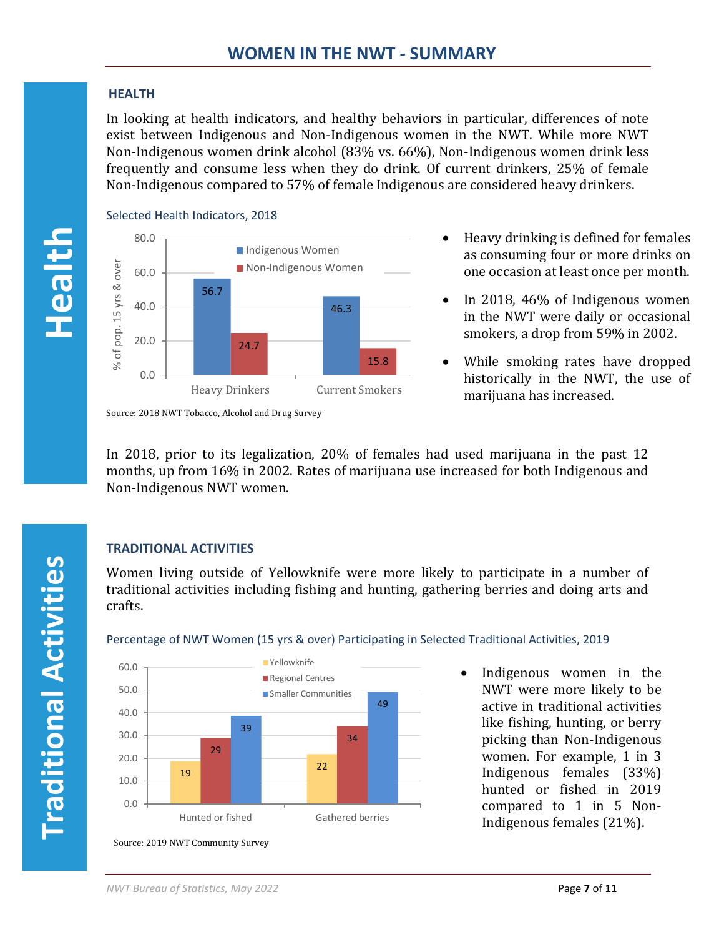# <span id="page-9-0"></span>**HEALTH**

In looking at health indicators, and healthy behaviors in particular, differences of note exist between Indigenous and Non-Indigenous women in the NWT. While more NWT Non-Indigenous women drink alcohol (83% vs. 66%), Non-Indigenous women drink less frequently and consume less when they do drink. Of current drinkers, 25% of female Non-Indigenous compared to 57% of female Indigenous are considered heavy drinkers.



Selected Health Indicators, 2018



- Heavy drinking is defined for females as consuming four or more drinks on one occasion at least once per month.
- In 2018, 46% of Indigenous women in the NWT were daily or occasional smokers, a drop from 59% in 2002.
- While smoking rates have dropped historically in the NWT, the use of marijuana has increased.

Source: 2018 NWT Tobacco, Alcohol and Drug Survey

In 2018, prior to its legalization, 20% of females had used marijuana in the past 12 months, up from 16% in 2002. Rates of marijuana use increased for both Indigenous and Non-Indigenous NWT women.

# <span id="page-9-1"></span>**TRADITIONAL ACTIVITIES**

Women living outside of Yellowknife were more likely to participate in a number of traditional activities including fishing and hunting, gathering berries and doing arts and crafts.



## Percentage of NWT Women (15 yrs & over) Participating in Selected Traditional Activities, 2019

• Indigenous women in the NWT were more likely to be active in traditional activities like fishing, hunting, or berry picking than Non-Indigenous women. For example, 1 in 3 Indigenous females (33%) hunted or fished in 2019 compared to 1 in 5 Non-Indigenous females (21%).

**Traditional Activities Traditional Activities**

**Health**